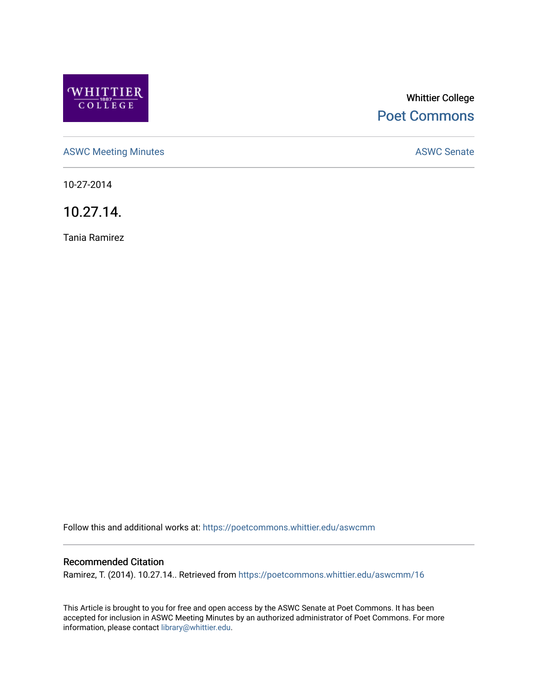

# Whittier College [Poet Commons](https://poetcommons.whittier.edu/)

[ASWC Meeting Minutes](https://poetcommons.whittier.edu/aswcmm) **ASWC Senate** 

10-27-2014

10.27.14.

Tania Ramirez

Follow this and additional works at: [https://poetcommons.whittier.edu/aswcmm](https://poetcommons.whittier.edu/aswcmm?utm_source=poetcommons.whittier.edu%2Faswcmm%2F16&utm_medium=PDF&utm_campaign=PDFCoverPages)

### Recommended Citation

Ramirez, T. (2014). 10.27.14.. Retrieved from [https://poetcommons.whittier.edu/aswcmm/16](https://poetcommons.whittier.edu/aswcmm/16?utm_source=poetcommons.whittier.edu%2Faswcmm%2F16&utm_medium=PDF&utm_campaign=PDFCoverPages)

This Article is brought to you for free and open access by the ASWC Senate at Poet Commons. It has been accepted for inclusion in ASWC Meeting Minutes by an authorized administrator of Poet Commons. For more information, please contact [library@whittier.edu.](mailto:library@whittier.edu)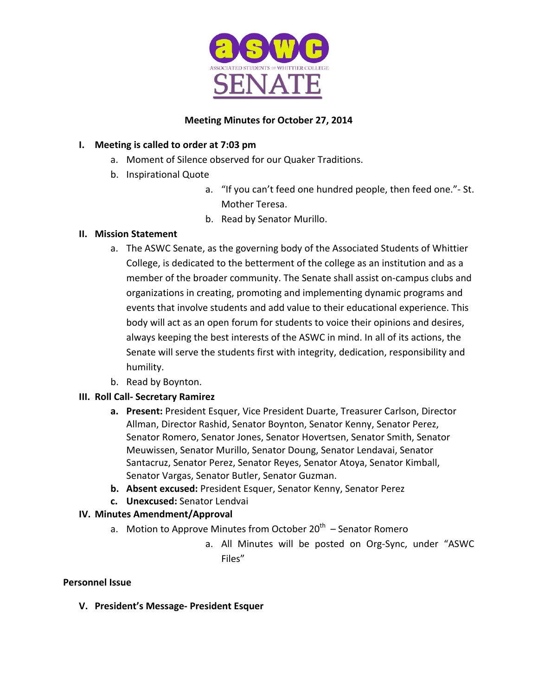

# **Meeting Minutes for October 27, 2014**

# **I.** Meeting is called to order at 7:03 pm

- a. Moment of Silence observed for our Quaker Traditions.
- b. Inspirational Quote
	- a. "If you can't feed one hundred people, then feed one." St. Mother Teresa.
	- b. Read by Senator Murillo.

### **II. Mission Statement**

- a. The ASWC Senate, as the governing body of the Associated Students of Whittier College, is dedicated to the betterment of the college as an institution and as a member of the broader community. The Senate shall assist on-campus clubs and organizations in creating, promoting and implementing dynamic programs and events that involve students and add value to their educational experience. This body will act as an open forum for students to voice their opinions and desires, always keeping the best interests of the ASWC in mind. In all of its actions, the Senate will serve the students first with integrity, dedication, responsibility and humility.
- b. Read by Boynton.

# **III. Roll Call- Secretary Ramirez**

- **a.** Present: President Esquer, Vice President Duarte, Treasurer Carlson, Director Allman, Director Rashid, Senator Boynton, Senator Kenny, Senator Perez, Senator Romero, Senator Jones, Senator Hovertsen, Senator Smith, Senator Meuwissen, Senator Murillo, Senator Doung, Senator Lendavai, Senator Santacruz, Senator Perez, Senator Reyes, Senator Atoya, Senator Kimball, Senator Vargas, Senator Butler, Senator Guzman.
- **b.** Absent excused: President Esquer, Senator Kenny, Senator Perez
- **c. Unexcused:** Senator Lendvai

# **IV. Minutes Amendment/Approval**

- a. Motion to Approve Minutes from October  $20^{th}$  Senator Romero
	- a. All Minutes will be posted on Org-Sync, under "ASWC Files"

### **Personnel Issue**

**V. President's Message- President Esquer**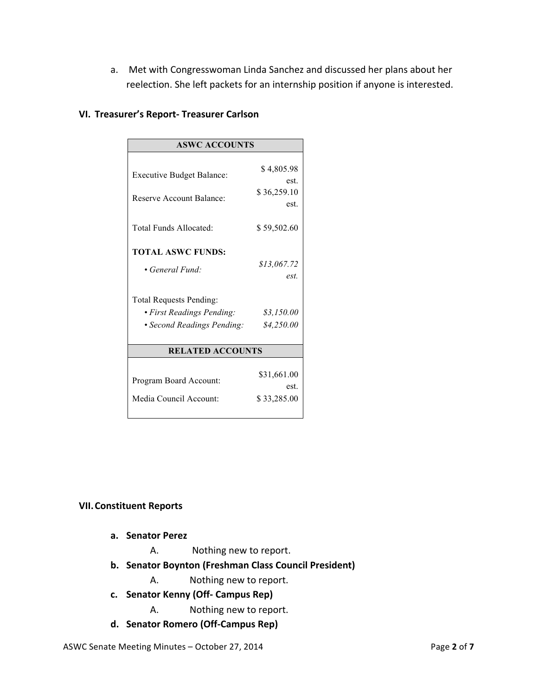a. Met with Congresswoman Linda Sanchez and discussed her plans about her reelection. She left packets for an internship position if anyone is interested.

| <b>ASWC ACCOUNTS</b>                                                                                                                     |                                                 |
|------------------------------------------------------------------------------------------------------------------------------------------|-------------------------------------------------|
| <b>Executive Budget Balance:</b><br><b>Reserve Account Balance:</b>                                                                      | \$4,805.98<br>est.<br>\$36,259.10<br>est.       |
| Total Funds Allocated:                                                                                                                   | \$59,502.60                                     |
| <b>TOTAL ASWC FUNDS:</b><br>• General Fund:<br><b>Total Requests Pending:</b><br>· First Readings Pending:<br>· Second Readings Pending: | \$13,067.72<br>est.<br>\$3,150.00<br>\$4,250.00 |
| <b>RELATED ACCOUNTS</b>                                                                                                                  |                                                 |
| Program Board Account:<br>Media Council Account:                                                                                         | \$31,661.00<br>est.<br>\$33,285.00              |

### **VI. Treasurer's Report- Treasurer Carlson**

#### **VII.Constituent Reports**

- **a. Senator Perez**
	- A. Nothing new to report.
- **b. Senator Boynton (Freshman Class Council President)**
	- A. Nothing new to report.
- **c. Senator Kenny (Off- Campus Rep)**
	- A. Nothing new to report.
- **d. Senator Romero (Off-Campus Rep)**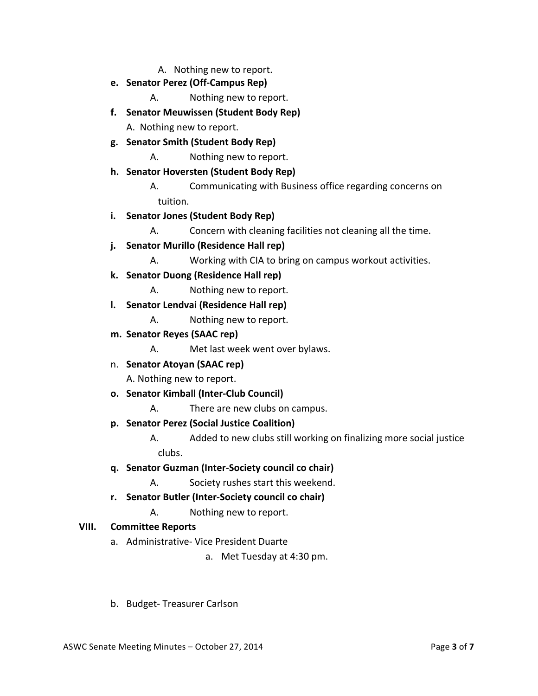A. Nothing new to report.

- **e. Senator Perez (Off-Campus Rep)**
	- A. Nothing new to report.
- **f. Senator Meuwissen (Student Body Rep)**

A. Nothing new to report.

- **g. Senator Smith (Student Body Rep)**
	- A. Nothing new to report.
- **h. Senator Hoversten (Student Body Rep)**
	- A. Communicating with Business office regarding concerns on tuition.
- **i. Senator Jones (Student Body Rep)**
	- A. Concern with cleaning facilities not cleaning all the time.
- **j. Senator Murillo (Residence Hall rep)**
	- A. Working with CIA to bring on campus workout activities.
- **k. Senator Duong (Residence Hall rep)**
	- A. Nothing new to report.
- **l. Senator Lendvai (Residence Hall rep)**
	- A. Nothing new to report.
- **m. Senator Reyes (SAAC rep)**
	- A. Met last week went over bylaws.
- n. **Senator Atoyan (SAAC rep)**

A. Nothing new to report.

- **o. Senator Kimball (Inter-Club Council)**
	- A. There are new clubs on campus.
- **p. Senator Perez (Social Justice Coalition)**
	- A. Added to new clubs still working on finalizing more social justice clubs.
- **q. Senator Guzman (Inter-Society council co chair)**
	- A. Society rushes start this weekend.
- **r. Senator Butler (Inter-Society council co chair)**
	- A. Nothing new to report.

### **VIII. Committee Reports**

- a. Administrative- Vice President Duarte
	- a. Met Tuesday at 4:30 pm.
- b. Budget- Treasurer Carlson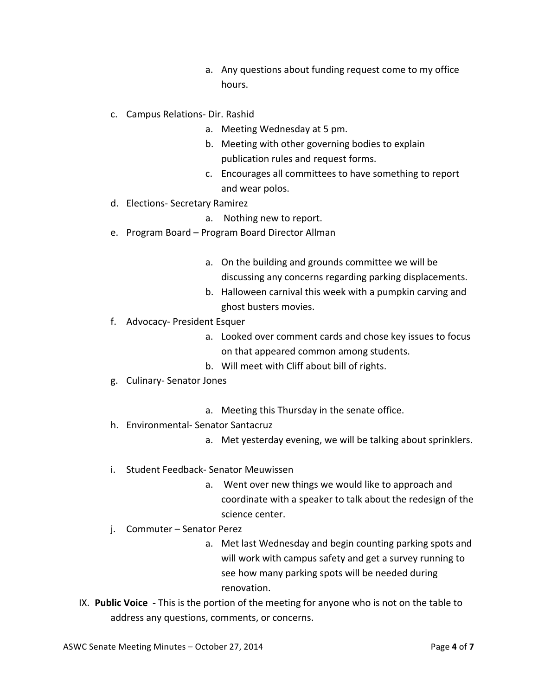- a. Any questions about funding request come to my office hours.
- c. Campus Relations- Dir. Rashid
	- a. Meeting Wednesday at 5 pm.
	- b. Meeting with other governing bodies to explain publication rules and request forms.
	- c. Encourages all committees to have something to report and wear polos.
- d. Elections- Secretary Ramirez
	- a. Nothing new to report.
- e. Program Board Program Board Director Allman
	- a. On the building and grounds committee we will be discussing any concerns regarding parking displacements.
	- b. Halloween carnival this week with a pumpkin carving and ghost busters movies.
- f. Advocacy- President Esquer
	- a. Looked over comment cards and chose key issues to focus on that appeared common among students.
	- b. Will meet with Cliff about bill of rights.
- g. Culinary- Senator Jones
	- a. Meeting this Thursday in the senate office.
- h. Environmental- Senator Santacruz
	- a. Met yesterday evening, we will be talking about sprinklers.
- i. Student Feedback- Senator Meuwissen
	- a. Went over new things we would like to approach and coordinate with a speaker to talk about the redesign of the science center.
- j. Commuter Senator Perez
	- a. Met last Wednesday and begin counting parking spots and will work with campus safety and get a survey running to see how many parking spots will be needed during renovation.
- IX. Public Voice This is the portion of the meeting for anyone who is not on the table to address any questions, comments, or concerns.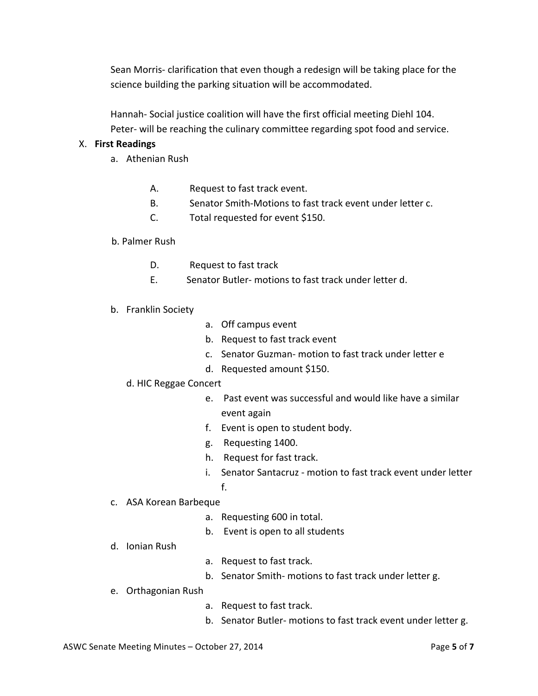Sean Morris- clarification that even though a redesign will be taking place for the science building the parking situation will be accommodated.

Hannah- Social justice coalition will have the first official meeting Diehl 104. Peter- will be reaching the culinary committee regarding spot food and service.

### X. **First Readings**

- a. Athenian Rush
	- A. Request to fast track event.
	- B. Senator Smith-Motions to fast track event under letter c.
	- C. Total requested for event \$150.

#### b. Palmer Rush

- D. Request to fast track
- E. Senator Butler- motions to fast track under letter d.
- b. Franklin Society
- a. Off campus event
- b. Request to fast track event
- c. Senator Guzman- motion to fast track under letter e
- d. Requested amount \$150.
- d. HIC Reggae Concert
	- e. Past event was successful and would like have a similar event again
	- f. Event is open to student body.
	- g. Requesting 1400.
	- h. Request for fast track.
	- i. Senator Santacruz motion to fast track event under letter f.
- c. ASA Korean Barbeque
	- a. Requesting 600 in total.
	- b. Event is open to all students
- d. Ionian Rush
- a. Request to fast track.
- b. Senator Smith- motions to fast track under letter g.
- e. Orthagonian Rush
	- a. Request to fast track.
	- b. Senator Butler- motions to fast track event under letter g.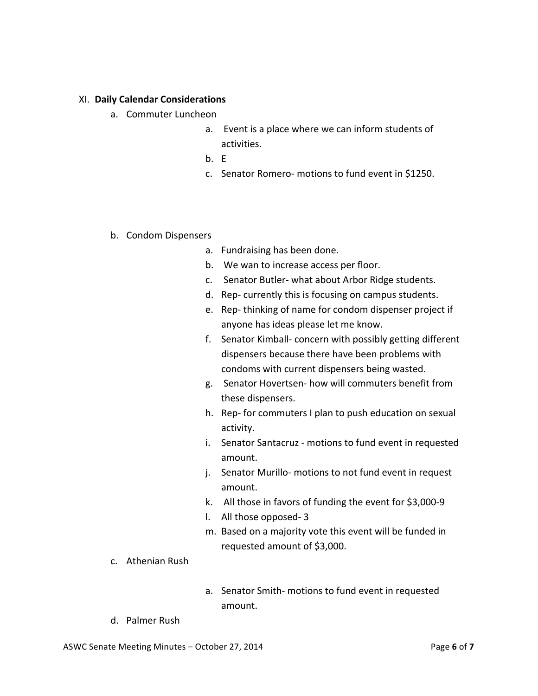#### XI. **Daily Calendar Considerations**

- a. Commuter Luncheon
	- a. Event is a place where we can inform students of activities.
	- b. E
	- c. Senator Romero- motions to fund event in \$1250.

#### b. Condom Dispensers

- a. Fundraising has been done.
- b. We wan to increase access per floor.
- c. Senator Butler- what about Arbor Ridge students.
- d. Rep- currently this is focusing on campus students.
- e. Rep-thinking of name for condom dispenser project if anyone has ideas please let me know.
- f. Senator Kimball- concern with possibly getting different dispensers because there have been problems with condoms with current dispensers being wasted.
- g. Senator Hovertsen- how will commuters benefit from these dispensers.
- h. Rep- for commuters I plan to push education on sexual activity.
- i. Senator Santacruz motions to fund event in requested amount.
- j. Senator Murillo- motions to not fund event in request amount.
- k. All those in favors of funding the event for \$3,000-9
- l. All those opposed- 3
- m. Based on a majority vote this event will be funded in requested amount of \$3,000.
- c. Athenian Rush
- a. Senator Smith- motions to fund event in requested amount.
- d. Palmer Rush